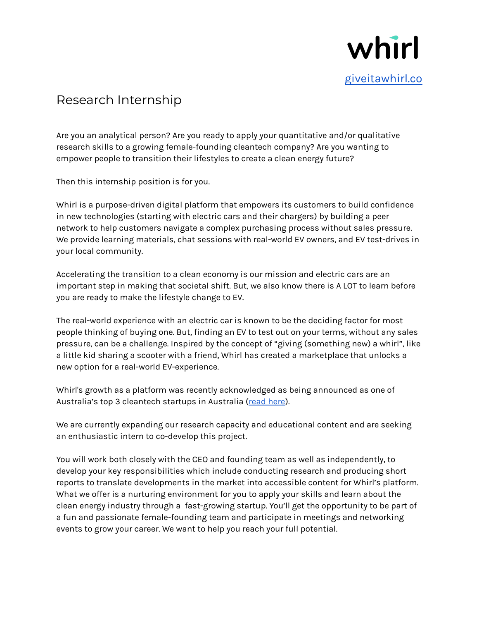

## Research Internship

Are you an analytical person? Are you ready to apply your quantitative and/or qualitative research skills to a growing female-founding cleantech company? Are you wanting to empower people to transition their lifestyles to create a clean energy future?

Then this internship position is for you.

Whirl is a purpose-driven digital platform that empowers its customers to build confidence in new technologies (starting with electric cars and their chargers) by building a peer network to help customers navigate a complex purchasing process without sales pressure. We provide learning materials, chat sessions with real-world EV owners, and EV test-drives in your local community.

Accelerating the transition to a clean economy is our mission and electric cars are an important step in making that societal shift. But, we also know there is A LOT to learn before you are ready to make the lifestyle change to EV.

The real-world experience with an electric car is known to be the deciding factor for most people thinking of buying one. But, finding an EV to test out on your terms, without any sales pressure, can be a challenge. Inspired by the concept of "giving (something new) a whirl", like a little kid sharing a scooter with a friend, Whirl has created a marketplace that unlocks a new option for a real-world EV-experience.

Whirl's growth as a platform was recently acknowledged as being announced as one of Australia's top 3 cleantech startups in Australia (read [here\)](https://climate-kic.org.au/2021/08/27/top-3-cleantech-startups-in-australia-named/).

We are currently expanding our research capacity and educational content and are seeking an enthusiastic intern to co-develop this project.

You will work both closely with the CEO and founding team as well as independently, to develop your key responsibilities which include conducting research and producing short reports to translate developments in the market into accessible content for Whirl's platform. What we offer is a nurturing environment for you to apply your skills and learn about the clean energy industry through a fast-growing startup. You'll get the opportunity to be part of a fun and passionate female-founding team and participate in meetings and networking events to grow your career. We want to help you reach your full potential.